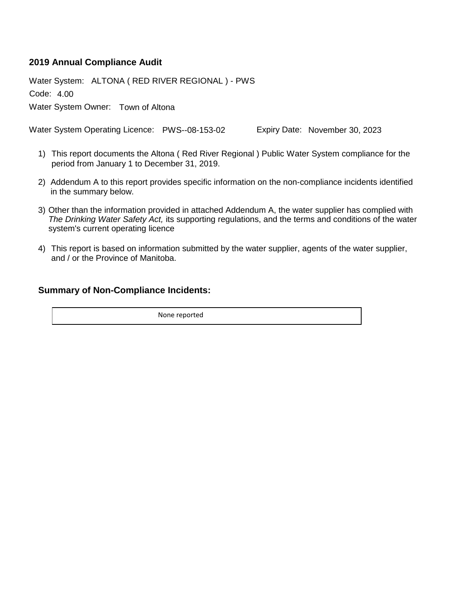### **2019 Annual Compliance Audit**

Code: 4.00 Water System: ALTONA ( RED RIVER REGIONAL ) - PWS Water System Owner: Town of Altona

Water System Operating Licence: PWS--08-153-02 Expiry Date: November 30, 2023

- This report documents the Altona ( Red River Regional ) Public Water System compliance for the 1) period from January 1 to December 31, 2019.
- 2) Addendum A to this report provides specific information on the non-compliance incidents identified in the summary below.
- 3) Other than the information provided in attached Addendum A, the water supplier has complied with *The Drinking Water Safety Act,* its supporting regulations, and the terms and conditions of the water system's current operating licence
- This report is based on information submitted by the water supplier, agents of the water supplier, 4) and / or the Province of Manitoba.

#### **Summary of Non-Compliance Incidents:**

None reported